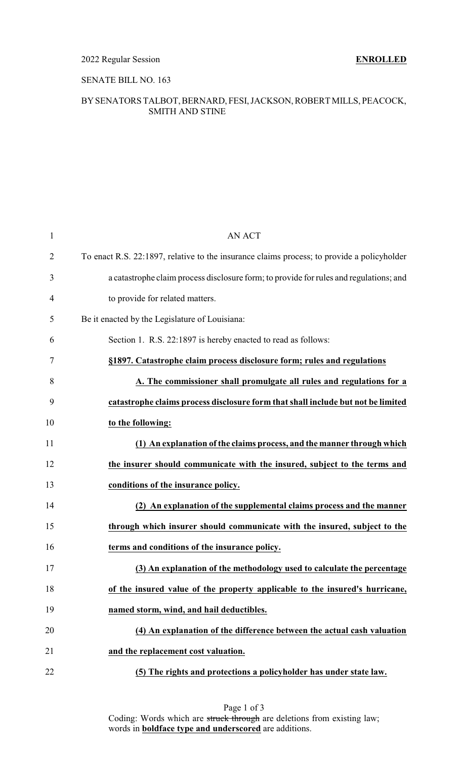#### SENATE BILL NO. 163

#### BYSENATORS TALBOT, BERNARD, FESI, JACKSON, ROBERT MILLS, PEACOCK, SMITH AND STINE

| $\mathbf{1}$   | <b>AN ACT</b>                                                                              |
|----------------|--------------------------------------------------------------------------------------------|
| $\overline{2}$ | To enact R.S. 22:1897, relative to the insurance claims process; to provide a policyholder |
| 3              | a catastrophe claim process disclosure form; to provide for rules and regulations; and     |
| 4              | to provide for related matters.                                                            |
| 5              | Be it enacted by the Legislature of Louisiana:                                             |
| 6              | Section 1. R.S. 22:1897 is hereby enacted to read as follows:                              |
| 7              | §1897. Catastrophe claim process disclosure form; rules and regulations                    |
| 8              | A. The commissioner shall promulgate all rules and regulations for a                       |
| 9              | catastrophe claims process disclosure form that shall include but not be limited           |
| 10             | to the following:                                                                          |
| 11             | (1) An explanation of the claims process, and the manner through which                     |
| 12             | the insurer should communicate with the insured, subject to the terms and                  |
| 13             | conditions of the insurance policy.                                                        |
| 14             | (2) An explanation of the supplemental claims process and the manner                       |
| 15             | through which insurer should communicate with the insured, subject to the                  |
| 16             | terms and conditions of the insurance policy.                                              |
| 17             | (3) An explanation of the methodology used to calculate the percentage                     |
| 18             | of the insured value of the property applicable to the insured's hurricane,                |
| 19             | named storm, wind, and hail deductibles.                                                   |
| 20             | (4) An explanation of the difference between the actual cash valuation                     |
| 21             | and the replacement cost valuation.                                                        |
| 22             | (5) The rights and protections a policyholder has under state law.                         |

| Page 1 of 3 |  |  |  |
|-------------|--|--|--|
|-------------|--|--|--|

Coding: Words which are struck through are deletions from existing law; words in **boldface type and underscored** are additions.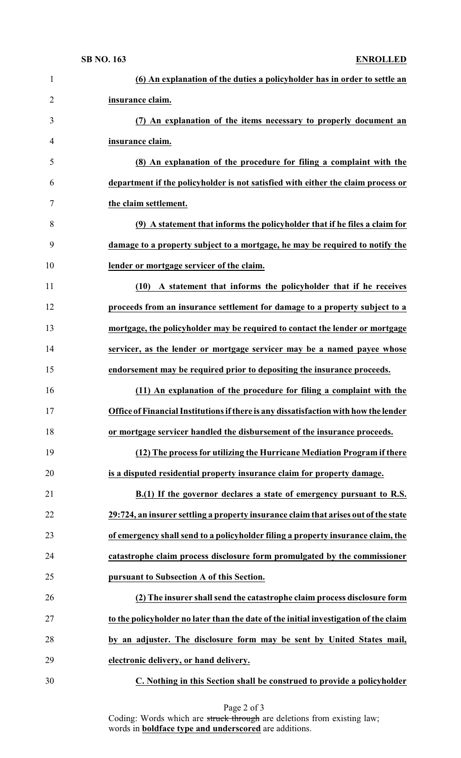| $\mathbf{1}$   | (6) An explanation of the duties a policyholder has in order to settle an            |
|----------------|--------------------------------------------------------------------------------------|
| $\overline{2}$ | insurance claim.                                                                     |
| 3              | (7) An explanation of the items necessary to properly document an                    |
| $\overline{4}$ | insurance claim.                                                                     |
| 5              | (8) An explanation of the procedure for filing a complaint with the                  |
| 6              | department if the policyholder is not satisfied with either the claim process or     |
| 7              | the claim settlement.                                                                |
| 8              | (9) A statement that informs the policyholder that if he files a claim for           |
| 9              | damage to a property subject to a mortgage, he may be required to notify the         |
| 10             | lender or mortgage servicer of the claim.                                            |
| 11             | (10) A statement that informs the policyholder that if he receives                   |
| 12             | proceeds from an insurance settlement for damage to a property subject to a          |
| 13             | mortgage, the policyholder may be required to contact the lender or mortgage         |
| 14             | servicer, as the lender or mortgage servicer may be a named payee whose              |
| 15             | endorsement may be required prior to depositing the insurance proceeds.              |
| 16             | (11) An explanation of the procedure for filing a complaint with the                 |
| 17             | Office of Financial Institutions if there is any dissatisfaction with how the lender |
| 18             | or mortgage servicer handled the disbursement of the insurance proceeds.             |
| 19             | (12) The process for utilizing the Hurricane Mediation Program if there              |
| 20             | is a disputed residential property insurance claim for property damage.              |
| 21             | B.(1) If the governor declares a state of emergency pursuant to R.S.                 |
| 22             | 29:724, an insurer settling a property insurance claim that arises out of the state  |
| 23             | of emergency shall send to a policyholder filing a property insurance claim, the     |
| 24             | catastrophe claim process disclosure form promulgated by the commissioner            |
| 25             | pursuant to Subsection A of this Section.                                            |
| 26             | (2) The insurer shall send the catastrophe claim process disclosure form             |
| 27             | to the policyholder no later than the date of the initial investigation of the claim |
| 28             | by an adjuster. The disclosure form may be sent by United States mail,               |
| 29             | electronic delivery, or hand delivery.                                               |
| 30             | C. Nothing in this Section shall be construed to provide a policyholder              |

Coding: Words which are struck through are deletions from existing law; words in **boldface type and underscored** are additions.